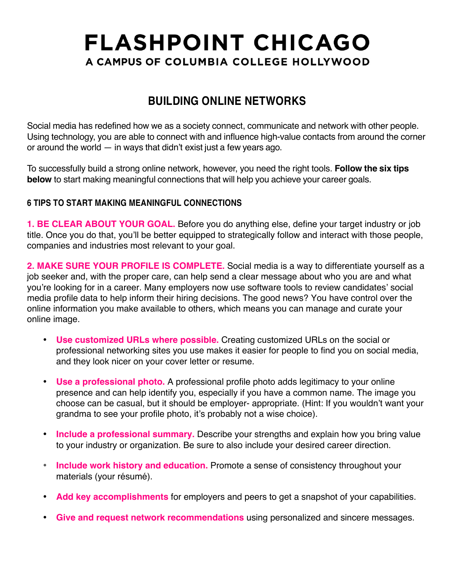# **BUILDING ONLINE NETWORKS**

Social media has redefined how we as a society connect, communicate and network with other people. Using technology, you are able to connect with and influence high-value contacts from around the corner or around the world — in ways that didn't exist just a few years ago.

To successfully build a strong online network, however, you need the right tools. **Follow the six tips below** to start making meaningful connections that will help you achieve your career goals.

## **6 TIPS TO START MAKING MEANINGFUL CONNECTIONS**

**1. BE CLEAR ABOUT YOUR GOAL.** Before you do anything else, define your target industry or job title. Once you do that, you'll be better equipped to strategically follow and interact with those people, companies and industries most relevant to your goal.

**2. MAKE SURE YOUR PROFILE IS COMPLETE.** Social media is a way to differentiate yourself as a job seeker and, with the proper care, can help send a clear message about who you are and what you're looking for in a career. Many employers now use software tools to review candidates' social media profile data to help inform their hiring decisions. The good news? You have control over the online information you make available to others, which means you can manage and curate your online image.

- **Use customized URLs where possible.** Creating customized URLs on the social or professional networking sites you use makes it easier for people to find you on social media, and they look nicer on your cover letter or resume.
- **Use a professional photo.** A professional profile photo adds legitimacy to your online presence and can help identify you, especially if you have a common name. The image you choose can be casual, but it should be employer- appropriate. (Hint: If you wouldn't want your grandma to see your profile photo, it's probably not a wise choice).
- **Include a professional summary.** Describe your strengths and explain how you bring value to your industry or organization. Be sure to also include your desired career direction.
- **Include work history and education.** Promote a sense of consistency throughout your materials (your résumé).
- **Add key accomplishments** for employers and peers to get a snapshot of your capabilities.
- **Give and request network recommendations** using personalized and sincere messages.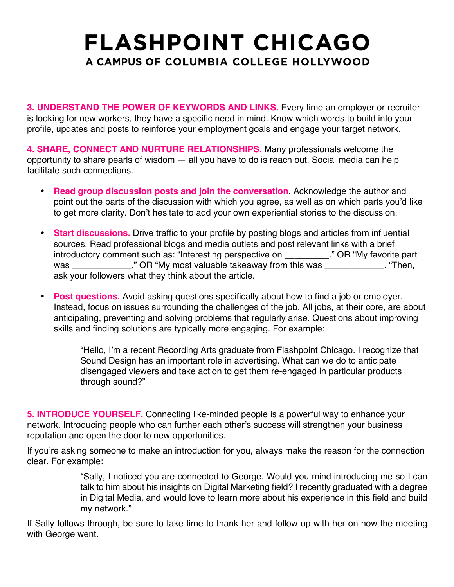**3. UNDERSTAND THE POWER OF KEYWORDS AND LINKS.** Every time an employer or recruiter is looking for new workers, they have a specific need in mind. Know which words to build into your profile, updates and posts to reinforce your employment goals and engage your target network.

**4. SHARE, CONNECT AND NURTURE RELATIONSHIPS.** Many professionals welcome the opportunity to share pearls of wisdom — all you have to do is reach out. Social media can help facilitate such connections.

- **Read group discussion posts and join the conversation.** Acknowledge the author and point out the parts of the discussion with which you agree, as well as on which parts you'd like to get more clarity. Don't hesitate to add your own experiential stories to the discussion.
- **Start discussions.** Drive traffic to your profile by posting blogs and articles from influential sources. Read professional blogs and media outlets and post relevant links with a brief introductory comment such as: "Interesting perspective on \_\_\_\_\_\_\_\_\_." OR "My favorite part was \_\_\_\_\_\_\_\_\_\_\_\_\_\_." OR "My most valuable takeaway from this was \_\_\_\_\_\_\_\_\_\_\_\_\_. "Then, ask your followers what they think about the article.
- **Post questions.** Avoid asking questions specifically about how to find a job or employer. Instead, focus on issues surrounding the challenges of the job. All jobs, at their core, are about anticipating, preventing and solving problems that regularly arise. Questions about improving skills and finding solutions are typically more engaging. For example:

"Hello, I'm a recent Recording Arts graduate from Flashpoint Chicago. I recognize that Sound Design has an important role in advertising. What can we do to anticipate disengaged viewers and take action to get them re-engaged in particular products through sound?"

**5. INTRODUCE YOURSELF.** Connecting like-minded people is a powerful way to enhance your network. Introducing people who can further each other's success will strengthen your business reputation and open the door to new opportunities.

If you're asking someone to make an introduction for you, always make the reason for the connection clear. For example:

> "Sally, I noticed you are connected to George. Would you mind introducing me so I can talk to him about his insights on Digital Marketing field? I recently graduated with a degree in Digital Media, and would love to learn more about his experience in this field and build my network."

If Sally follows through, be sure to take time to thank her and follow up with her on how the meeting with George went.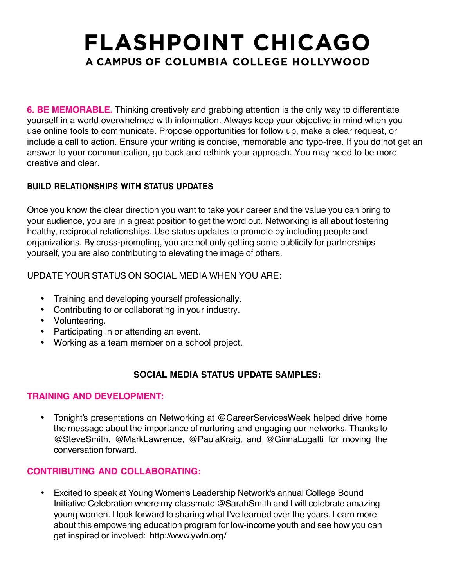**6. BE MEMORABLE.** Thinking creatively and grabbing attention is the only way to differentiate yourself in a world overwhelmed with information. Always keep your objective in mind when you use online tools to communicate. Propose opportunities for follow up, make a clear request, or include a call to action. Ensure your writing is concise, memorable and typo-free. If you do not get an answer to your communication, go back and rethink your approach. You may need to be more creative and clear.

# **BUILD RELATIONSHIPS WITH STATUS UPDATES**

Once you know the clear direction you want to take your career and the value you can bring to your audience, you are in a great position to get the word out. Networking is all about fostering healthy, reciprocal relationships. Use status updates to promote by including people and organizations. By cross-promoting, you are not only getting some publicity for partnerships yourself, you are also contributing to elevating the image of others.

UPDATE YOUR STATUS ON SOCIAL MEDIA WHEN YOU ARE:

- Training and developing yourself professionally.
- Contributing to or collaborating in your industry.
- Volunteering.
- Participating in or attending an event.
- Working as a team member on a school project.

# **SOCIAL MEDIA STATUS UPDATE SAMPLES:**

#### **TRAINING AND DEVELOPMENT:**

• Tonight's presentations on Networking at @CareerServicesWeek helped drive home the message about the importance of nurturing and engaging our networks. Thanks to @SteveSmith, @MarkLawrence, @PaulaKraig, and @GinnaLugatti for moving the conversation forward.

## **CONTRIBUTING AND COLLABORATING:**

• Excited to speak at Young Women's Leadership Network's annual College Bound Initiative Celebration where my classmate @SarahSmith and I will celebrate amazing young women. I look forward to sharing what I've learned over the years. Learn more about this empowering education program for low-income youth and see how you can get inspired or involved: http://www.ywln.org/